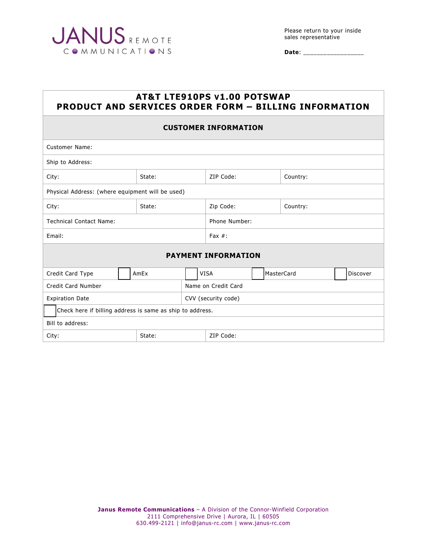

**Date**: \_\_\_\_\_\_\_\_\_\_\_\_\_\_\_\_\_\_

# **AT&T LTE910PS V1.00 POTSWAP PRODUCT AND SERVICES ORDER FORM – BILLING INFORMATION**

### **CUSTOMER INFORMATION**

| <b>Customer Name:</b>                                     |        |  |                     |  |            |          |  |  |
|-----------------------------------------------------------|--------|--|---------------------|--|------------|----------|--|--|
| Ship to Address:                                          |        |  |                     |  |            |          |  |  |
| City:                                                     | State: |  | ZIP Code:           |  | Country:   |          |  |  |
| Physical Address: (where equipment will be used)          |        |  |                     |  |            |          |  |  |
| City:                                                     | State: |  | Zip Code:           |  | Country:   |          |  |  |
| <b>Technical Contact Name:</b>                            |        |  | Phone Number:       |  |            |          |  |  |
| Email:                                                    |        |  | Fax $#$ :           |  |            |          |  |  |
| <b>PAYMENT INFORMATION</b>                                |        |  |                     |  |            |          |  |  |
| Credit Card Type                                          | AmEx   |  | <b>VISA</b>         |  | MasterCard | Discover |  |  |
| Credit Card Number                                        |        |  | Name on Credit Card |  |            |          |  |  |
| <b>Expiration Date</b>                                    |        |  | CVV (security code) |  |            |          |  |  |
| Check here if billing address is same as ship to address. |        |  |                     |  |            |          |  |  |
| Bill to address:                                          |        |  |                     |  |            |          |  |  |
| City:<br>State:                                           |        |  | ZIP Code:           |  |            |          |  |  |